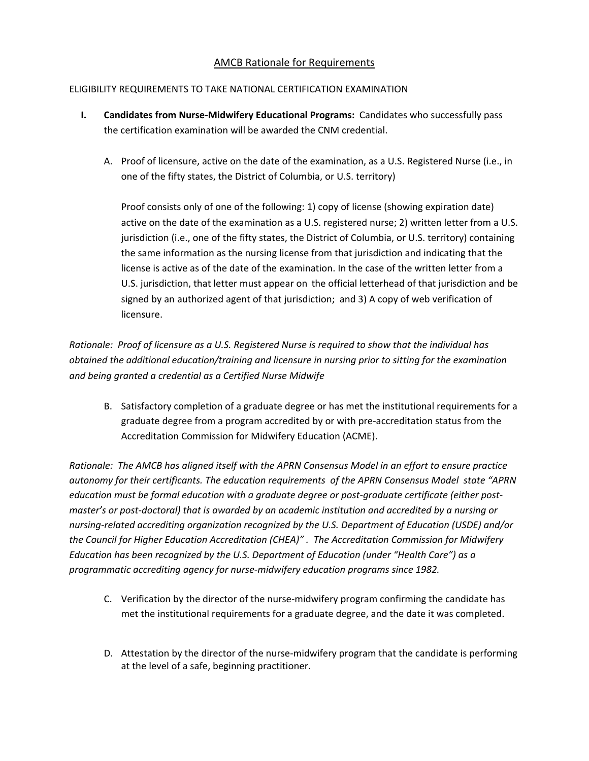## AMCB Rationale for Requirements

## ELIGIBILITY REQUIREMENTS TO TAKE NATIONAL CERTIFICATION EXAMINATION

- **I. Candidates from Nurse-Midwifery Educational Programs: Candidates who successfully pass** the certification examination will be awarded the CNM credential.
	- A. Proof of licensure, active on the date of the examination, as a U.S. Registered Nurse (i.e., in one of the fifty states, the District of Columbia, or U.S. territory)

Proof consists only of one of the following: 1) copy of license (showing expiration date) active on the date of the examination as a U.S. registered nurse; 2) written letter from a U.S. jurisdiction (i.e., one of the fifty states, the District of Columbia, or U.S. territory) containing the same information as the nursing license from that jurisdiction and indicating that the license is active as of the date of the examination. In the case of the written letter from a U.S. jurisdiction, that letter must appear on the official letterhead of that jurisdiction and be signed by an authorized agent of that jurisdiction; and 3) A copy of web verification of licensure.

*Rationale: Proof of licensure as a U.S. Registered Nurse is required to show that the individual has obtained the additional education/training and licensure in nursing prior to sitting for the examination and being granted a credential as a Certified Nurse Midwife* 

B. Satisfactory completion of a graduate degree or has met the institutional requirements for a graduate degree from a program accredited by or with pre‐accreditation status from the Accreditation Commission for Midwifery Education (ACME).

*Rationale: The AMCB has aligned itself with the APRN Consensus Model in an effort to ensure practice autonomy for their certificants. The education requirements of the APRN Consensus Model state "APRN education must be formal education with a graduate degree or post‐graduate certificate (either post‐ master's or post‐doctoral) that is awarded by an academic institution and accredited by a nursing or nursing‐related accrediting organization recognized by the U.S. Department of Education (USDE) and/or the Council for Higher Education Accreditation (CHEA)" . The Accreditation Commission for Midwifery Education has been recognized by the U.S. Department of Education (under "Health Care") as a programmatic accrediting agency for nurse‐midwifery education programs since 1982.* 

- C. Verification by the director of the nurse-midwifery program confirming the candidate has met the institutional requirements for a graduate degree, and the date it was completed.
- D. Attestation by the director of the nurse-midwifery program that the candidate is performing at the level of a safe, beginning practitioner.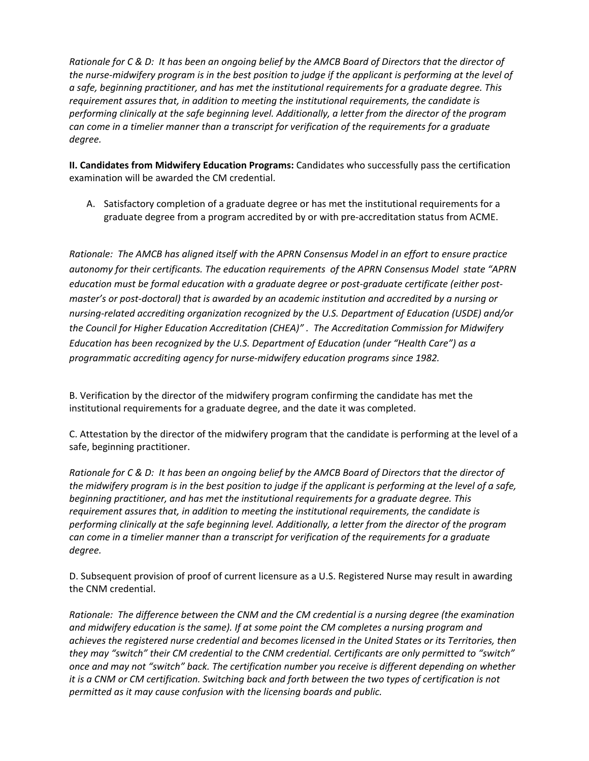*Rationale for C & D: It has been an ongoing belief by the AMCB Board of Directors that the director of the nurse‐midwifery program is in the best position to judge if the applicant is performing at the level of a safe, beginning practitioner, and has met the institutional requirements for a graduate degree. This requirement assures that, in addition to meeting the institutional requirements, the candidate is performing clinically at the safe beginning level. Additionally, a letter from the director of the program can come in a timelier manner than a transcript for verification of the requirements for a graduate degree.* 

**II. Candidates from Midwifery Education Programs:** Candidates who successfully pass the certification examination will be awarded the CM credential.

A. Satisfactory completion of a graduate degree or has met the institutional requirements for a graduate degree from a program accredited by or with pre‐accreditation status from ACME.

*Rationale: The AMCB has aligned itself with the APRN Consensus Model in an effort to ensure practice autonomy for their certificants. The education requirements of the APRN Consensus Model state "APRN education must be formal education with a graduate degree or post‐graduate certificate (either post‐ master's or post‐doctoral) that is awarded by an academic institution and accredited by a nursing or nursing‐related accrediting organization recognized by the U.S. Department of Education (USDE) and/or the Council for Higher Education Accreditation (CHEA)" . The Accreditation Commission for Midwifery Education has been recognized by the U.S. Department of Education (under "Health Care") as a programmatic accrediting agency for nurse‐midwifery education programs since 1982.* 

B. Verification by the director of the midwifery program confirming the candidate has met the institutional requirements for a graduate degree, and the date it was completed.

C. Attestation by the director of the midwifery program that the candidate is performing at the level of a safe, beginning practitioner.

*Rationale for C & D: It has been an ongoing belief by the AMCB Board of Directors that the director of the midwifery program is in the best position to judge if the applicant is performing at the level of a safe, beginning practitioner, and has met the institutional requirements for a graduate degree. This requirement assures that, in addition to meeting the institutional requirements, the candidate is performing clinically at the safe beginning level. Additionally, a letter from the director of the program can come in a timelier manner than a transcript for verification of the requirements for a graduate degree.* 

D. Subsequent provision of proof of current licensure as a U.S. Registered Nurse may result in awarding the CNM credential.

*Rationale: The difference between the CNM and the CM credential is a nursing degree (the examination and midwifery education is the same). If at some point the CM completes a nursing program and achieves the registered nurse credential and becomes licensed in the United States or its Territories, then they may "switch" their CM credential to the CNM credential. Certificants are only permitted to "switch" once and may not "switch" back. The certification number you receive is different depending on whether it is a CNM or CM certification. Switching back and forth between the two types of certification is not permitted as it may cause confusion with the licensing boards and public.*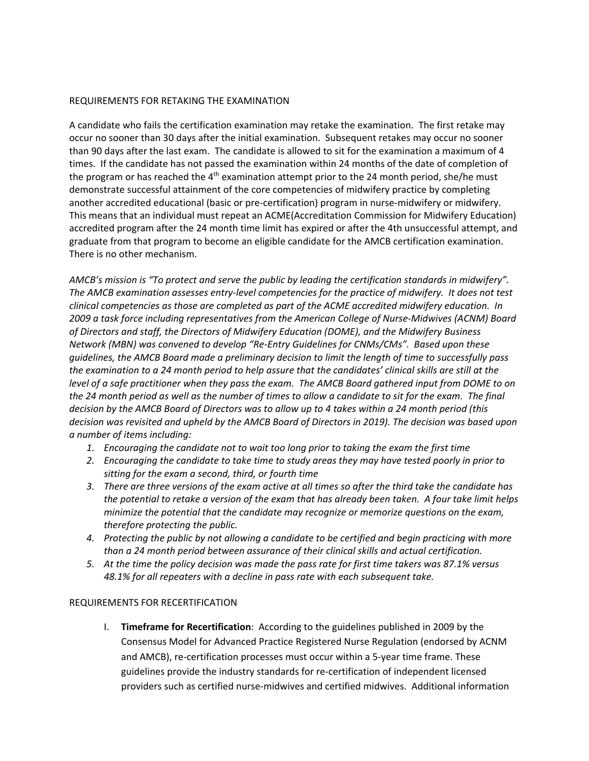## REQUIREMENTS FOR RETAKING THE EXAMINATION

A candidate who fails the certification examination may retake the examination. The first retake may occur no sooner than 30 days after the initial examination. Subsequent retakes may occur no sooner than 90 days after the last exam. The candidate is allowed to sit for the examination a maximum of 4 times. If the candidate has not passed the examination within 24 months of the date of completion of the program or has reached the  $4<sup>th</sup>$  examination attempt prior to the 24 month period, she/he must demonstrate successful attainment of the core competencies of midwifery practice by completing another accredited educational (basic or pre-certification) program in nurse-midwifery or midwifery. This means that an individual must repeat an ACME(Accreditation Commission for Midwifery Education) accredited program after the 24 month time limit has expired or after the 4th unsuccessful attempt, and graduate from that program to become an eligible candidate for the AMCB certification examination. There is no other mechanism.

*AMCB's mission is "To protect and serve the public by leading the certification standards in midwifery". The AMCB examination assesses entry‐level competencies for the practice of midwifery. It does not test clinical competencies as those are completed as part of the ACME accredited midwifery education. In 2009 a task force including representatives from the American College of Nurse‐Midwives (ACNM) Board of Directors and staff, the Directors of Midwifery Education (DOME), and the Midwifery Business Network (MBN) was convened to develop "Re‐Entry Guidelines for CNMs/CMs". Based upon these guidelines, the AMCB Board made a preliminary decision to limit the length of time to successfully pass the examination to a 24 month period to help assure that the candidates' clinical skills are still at the level of a safe practitioner when they pass the exam. The AMCB Board gathered input from DOME to on the 24 month period as well as the number of times to allow a candidate to sit for the exam. The final decision by the AMCB Board of Directors was to allow up to 4 takes within a 24 month period (this decision was revisited and upheld by the AMCB Board of Directors in 2019). The decision was based upon a number of items including:* 

- *1. Encouraging the candidate not to wait too long prior to taking the exam the first time*
- *2. Encouraging the candidate to take time to study areas they may have tested poorly in prior to sitting for the exam a second, third, or fourth time*
- *3. There are three versions of the exam active at all times so after the third take the candidate has the potential to retake a version of the exam that has already been taken. A four take limit helps minimize the potential that the candidate may recognize or memorize questions on the exam, therefore protecting the public.*
- *4. Protecting the public by not allowing a candidate to be certified and begin practicing with more than a 24 month period between assurance of their clinical skills and actual certification.*
- *5. At the time the policy decision was made the pass rate for first time takers was 87.1% versus 48.1% for all repeaters with a decline in pass rate with each subsequent take.*

## REQUIREMENTS FOR RECERTIFICATION

I. **Timeframe for Recertification**: According to the guidelines published in 2009 by the Consensus Model for Advanced Practice Registered Nurse Regulation (endorsed by ACNM and AMCB), re‐certification processes must occur within a 5‐year time frame. These guidelines provide the industry standards for re‐certification of independent licensed providers such as certified nurse‐midwives and certified midwives. Additional information